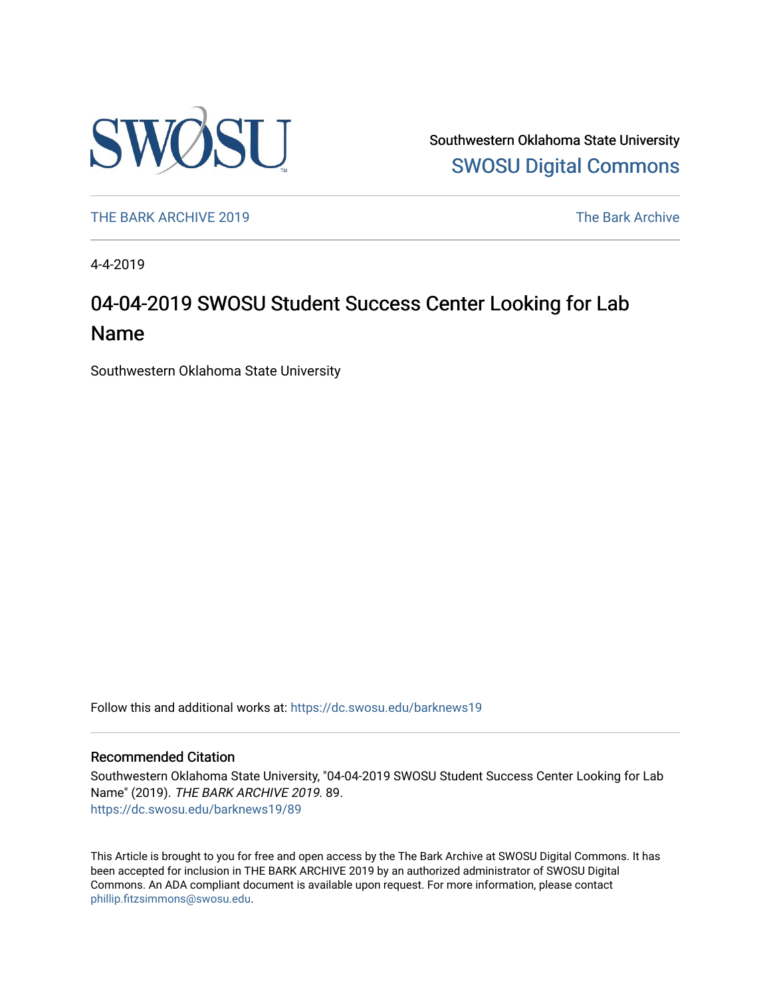

Southwestern Oklahoma State University [SWOSU Digital Commons](https://dc.swosu.edu/) 

[THE BARK ARCHIVE 2019](https://dc.swosu.edu/barknews19) The Bark Archive

4-4-2019

## 04-04-2019 SWOSU Student Success Center Looking for Lab Name

Southwestern Oklahoma State University

Follow this and additional works at: [https://dc.swosu.edu/barknews19](https://dc.swosu.edu/barknews19?utm_source=dc.swosu.edu%2Fbarknews19%2F89&utm_medium=PDF&utm_campaign=PDFCoverPages)

#### Recommended Citation

Southwestern Oklahoma State University, "04-04-2019 SWOSU Student Success Center Looking for Lab Name" (2019). THE BARK ARCHIVE 2019. 89. [https://dc.swosu.edu/barknews19/89](https://dc.swosu.edu/barknews19/89?utm_source=dc.swosu.edu%2Fbarknews19%2F89&utm_medium=PDF&utm_campaign=PDFCoverPages) 

This Article is brought to you for free and open access by the The Bark Archive at SWOSU Digital Commons. It has been accepted for inclusion in THE BARK ARCHIVE 2019 by an authorized administrator of SWOSU Digital Commons. An ADA compliant document is available upon request. For more information, please contact [phillip.fitzsimmons@swosu.edu](mailto:phillip.fitzsimmons@swosu.edu).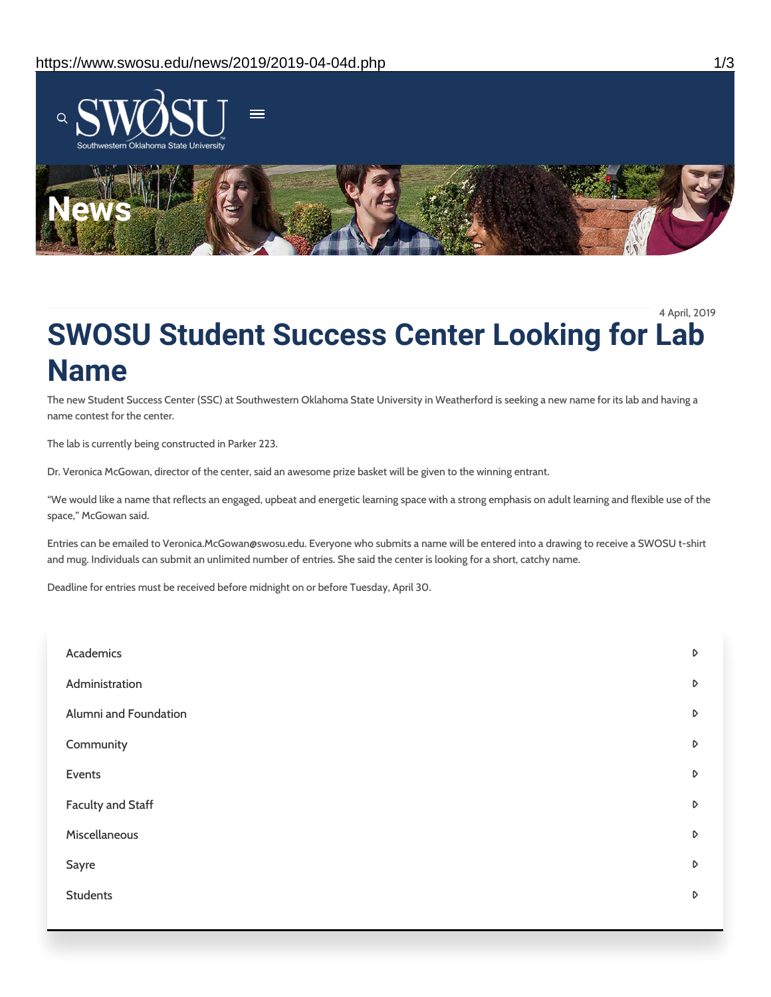

4 April, 2019

# **SWOSU Student Success Center Looking for Lab Name**

The new Student Success Center (SSC) at Southwestern Oklahoma State University in Weatherford is seeking a new name for its lab and having a name contest for the center.

The lab is currently being constructed in Parker 223.

Dr. Veronica McGowan, director of the center, said an awesome prize basket will be given to the winning entrant.

"We would like a name that reflects an engaged, upbeat and energetic learning space with a strong emphasis on adult learning and flexible use of the space," McGowan said.

Entries can be emailed to Veronica.McGowan@swosu.edu. Everyone who submits a name will be entered into a drawing to receive a SWOSU t-shirt and mug. Individuals can submit an unlimited number of entries. She said the center is looking for a short, catchy name.

Deadline for entries must be received before midnight on or before Tuesday, April 30.

| Academics                | $\triangleright$ |
|--------------------------|------------------|
| Administration           | $\mathsf D$      |
| Alumni and Foundation    | $\triangleright$ |
| Community                | $\mathsf D$      |
| Events                   | $\triangleright$ |
| <b>Faculty and Staff</b> | $\mathsf D$      |
| Miscellaneous            | $\triangleright$ |
| Sayre                    | $\triangleright$ |
| <b>Students</b>          | $\triangleright$ |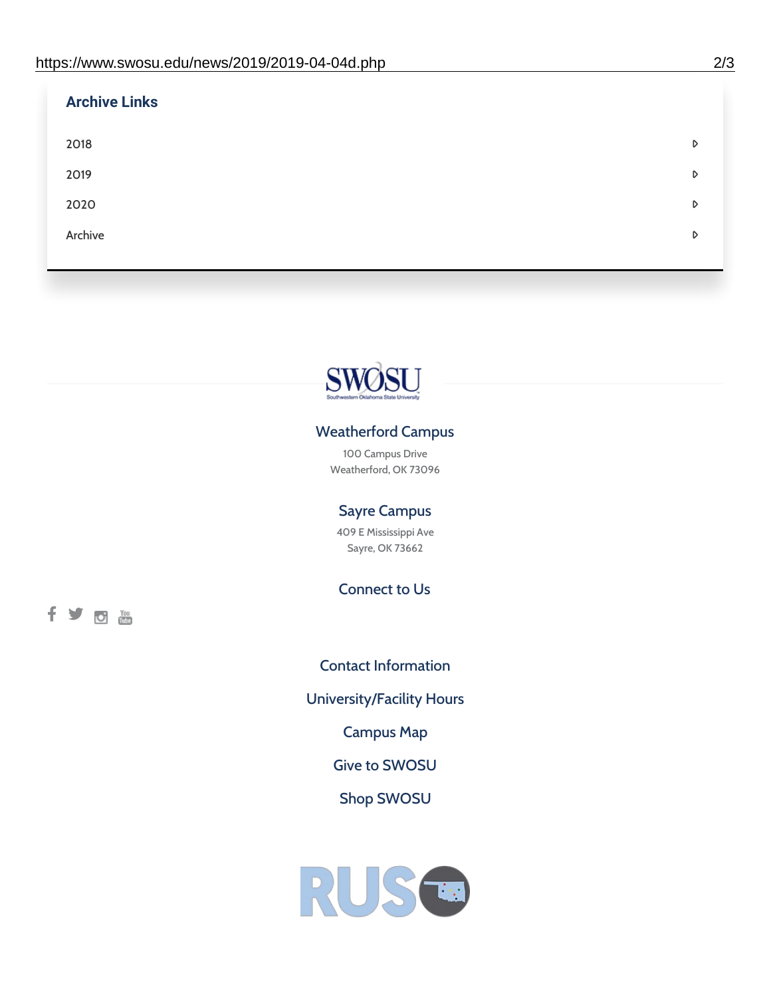| <b>Archive Links</b> |   |
|----------------------|---|
| 2018                 | D |
| 2019                 | D |
| 2020                 | D |
| Archive              | D |
|                      |   |



### Weatherford Campus

100 Campus Drive Weatherford, OK 73096

### Sayre Campus

409 E Mississippi Ave Sayre, OK 73662

Connect to Us

fyom

Contact [Information](https://www.swosu.edu/about/contact.php) [University/Facility](https://www.swosu.edu/about/operating-hours.php) Hours [Campus](https://map.concept3d.com/?id=768#!ct/10964,10214,10213,10212,10205,10204,10203,10202,10136,10129,10128,0,31226,10130,10201,10641,0) Map Give to [SWOSU](https://standingfirmly.com/donate) Shop [SWOSU](https://shopswosu.merchorders.com/)